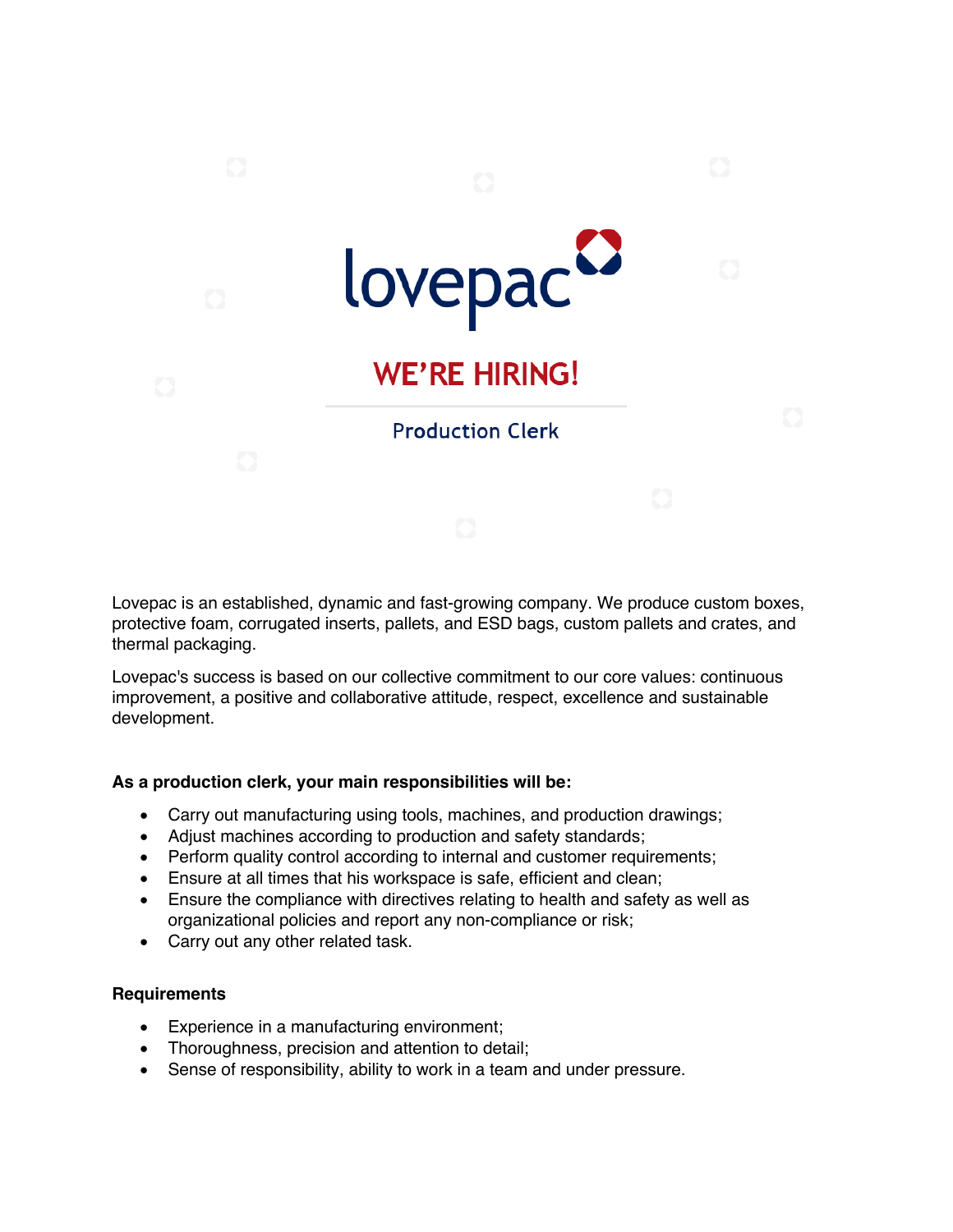

Lovepac is an established, dynamic and fast-growing company. We produce custom boxes, protective foam, corrugated inserts, pallets, and ESD bags, custom pallets and crates, and thermal packaging.

Lovepac's success is based on our collective commitment to our core values: continuous improvement, a positive and collaborative attitude, respect, excellence and sustainable development.

## **As a production clerk, your main responsibilities will be:**

- Carry out manufacturing using tools, machines, and production drawings;
- Adjust machines according to production and safety standards;
- Perform quality control according to internal and customer requirements;
- Ensure at all times that his workspace is safe, efficient and clean;
- Ensure the compliance with directives relating to health and safety as well as organizational policies and report any non-compliance or risk;
- Carry out any other related task.

## **Requirements**

- Experience in a manufacturing environment;
- Thoroughness, precision and attention to detail;
- Sense of responsibility, ability to work in a team and under pressure.